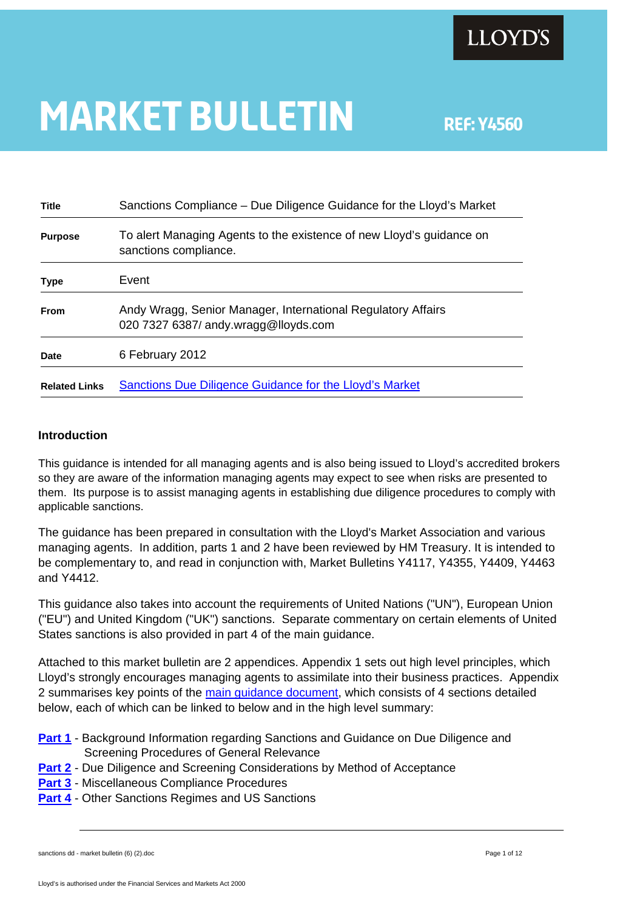

# **MARKET BULLETIN** REF: Y4560

**Title** Sanctions Compliance – Due Diligence Guidance for the Lloyd's Market **Purpose** To alert Managing Agents to the existence of new Lloyd's guidance on sanctions compliance. **Type** Event **From** Andy Wragg, Senior Manager, International Regulatory Affairs 020 7327 6387/ andy.wragg@lloyds.com **Date** 6 February 2012 **Related Links** [Sanctions Due Diligence Guidance for the Lloyd's Market](http://www.lloyds.com/%7E/media/Files/The%20Market/Communications/Key%20regulatory%20projects/Financial%20Crime/20120206_Sanctions_due_diligence_guidance)

#### **Introduction**

This guidance is intended for all managing agents and is also being issued to Lloyd's accredited brokers so they are aware of the information managing agents may expect to see when risks are presented to them. Its purpose is to assist managing agents in establishing due diligence procedures to comply with applicable sanctions.

The guidance has been prepared in consultation with the Lloyd's Market Association and various managing agents. In addition, parts 1 and 2 have been reviewed by HM Treasury. It is intended to be complementary to, and read in conjunction with, Market Bulletins Y4117, Y4355, Y4409, Y4463 and Y4412.

This guidance also takes into account the requirements of United Nations ("UN"), European Union ("EU") and United Kingdom ("UK") sanctions. Separate commentary on certain elements of United States sanctions is also provided in part 4 of the main guidance.

Attached to this market bulletin are 2 appendices. Appendix 1 sets out high level principles, which Lloyd's strongly encourages managing agents to assimilate into their business practices. Appendix 2 summarises key points of the [main guidance document](http://www.lloyds.com/%7E/media/Files/The%20Market/Communications/Key%20regulatory%20projects/Financial%20Crime/20120206_Sanctions_due_diligence_guidance), which consists of 4 sections detailed below, each of which can be linked to below and in the high level summary:

- **[Part 1](http://www.lloyds.com/%7E/media/Files/The%20Market/Communications/Key%20regulatory%20projects/Financial%20Crime/2012006Sanctions_due_dilligence_guidance_Part_1)** Background Information regarding Sanctions and Guidance on Due Diligence and Screening Procedures of General Relevance
- **[Part 2](http://www.lloyds.com/%7E/media/Files/The%20Market/Communications/Key%20regulatory%20projects/Financial%20Crime/2012006Sanctions_due_dilligence_guidance_Part_2)** Due Diligence and Screening Considerations by Method of Acceptance
- **[Part 3](http://www.lloyds.com/%7E/media/Files/The%20Market/Communications/Key%20regulatory%20projects/Financial%20Crime/2012006Sanctions_due_dilligence_guidance_Part_3)** Miscellaneous Compliance Procedures
- **[Part 4](http://www.lloyds.com/%7E/media/Files/The%20Market/Communications/Key%20regulatory%20projects/Financial%20Crime/2012006Sanctions_due_dilligence_guidance_Part_4)** Other Sanctions Regimes and US Sanctions

```
sanctions dd - market bulletin (6) (2).doc Page 1 of 12 and the page 1 of 12
```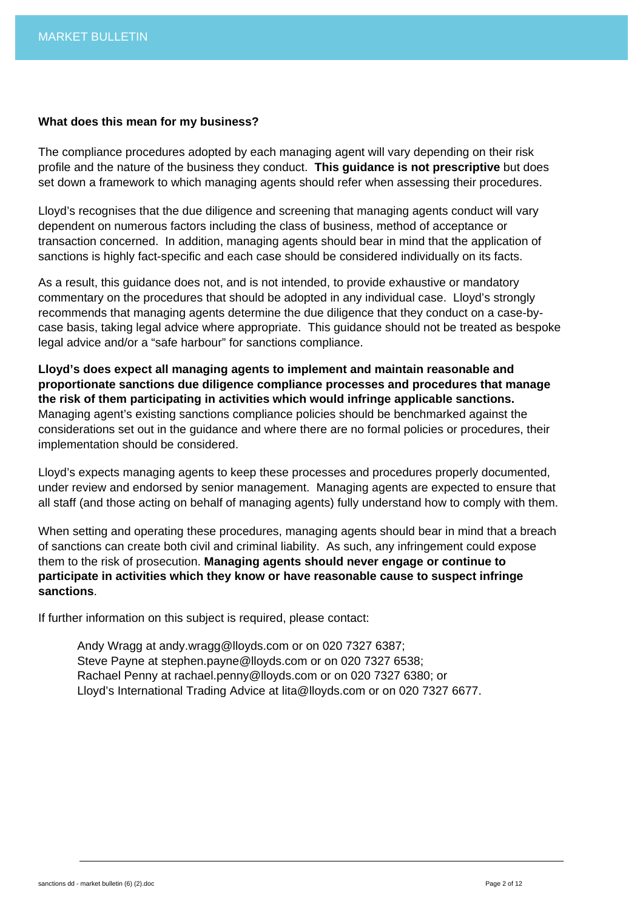#### **What does this mean for my business?**

The compliance procedures adopted by each managing agent will vary depending on their risk profile and the nature of the business they conduct. **This guidance is not prescriptive** but does set down a framework to which managing agents should refer when assessing their procedures.

Lloyd's recognises that the due diligence and screening that managing agents conduct will vary dependent on numerous factors including the class of business, method of acceptance or transaction concerned. In addition, managing agents should bear in mind that the application of sanctions is highly fact-specific and each case should be considered individually on its facts.

As a result, this guidance does not, and is not intended, to provide exhaustive or mandatory commentary on the procedures that should be adopted in any individual case. Lloyd's strongly recommends that managing agents determine the due diligence that they conduct on a case-bycase basis, taking legal advice where appropriate. This guidance should not be treated as bespoke legal advice and/or a "safe harbour" for sanctions compliance.

**Lloyd's does expect all managing agents to implement and maintain reasonable and proportionate sanctions due diligence compliance processes and procedures that manage the risk of them participating in activities which would infringe applicable sanctions.**  Managing agent's existing sanctions compliance policies should be benchmarked against the considerations set out in the guidance and where there are no formal policies or procedures, their implementation should be considered.

Lloyd's expects managing agents to keep these processes and procedures properly documented, under review and endorsed by senior management. Managing agents are expected to ensure that all staff (and those acting on behalf of managing agents) fully understand how to comply with them.

When setting and operating these procedures, managing agents should bear in mind that a breach of sanctions can create both civil and criminal liability. As such, any infringement could expose them to the risk of prosecution. **Managing agents should never engage or continue to participate in activities which they know or have reasonable cause to suspect infringe sanctions**.

If further information on this subject is required, please contact:

 Andy Wragg at andy.wragg@lloyds.com or on 020 7327 6387; Steve Payne at stephen.payne@lloyds.com or on 020 7327 6538; Rachael Penny at rachael.penny@lloyds.com or on 020 7327 6380; or Lloyd's International Trading Advice at lita@lloyds.com or on 020 7327 6677.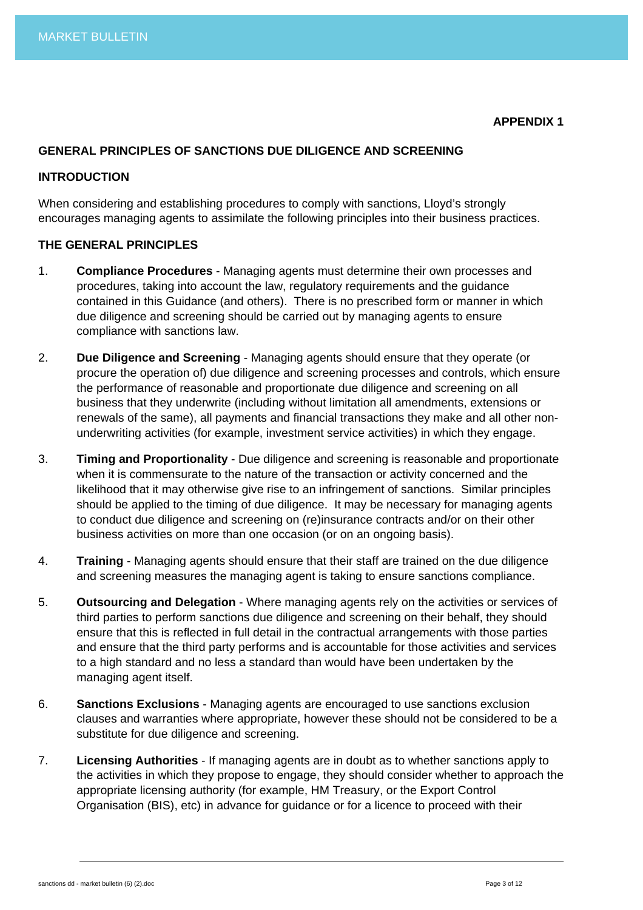# **GENERAL PRINCIPLES OF SANCTIONS DUE DILIGENCE AND SCREENING**

#### **INTRODUCTION**

When considering and establishing procedures to comply with sanctions, Lloyd's strongly encourages managing agents to assimilate the following principles into their business practices.

#### **THE GENERAL PRINCIPLES**

- 1. **Compliance Procedures** Managing agents must determine their own processes and procedures, taking into account the law, regulatory requirements and the guidance contained in this Guidance (and others). There is no prescribed form or manner in which due diligence and screening should be carried out by managing agents to ensure compliance with sanctions law.
- 2. **Due Diligence and Screening** Managing agents should ensure that they operate (or procure the operation of) due diligence and screening processes and controls, which ensure the performance of reasonable and proportionate due diligence and screening on all business that they underwrite (including without limitation all amendments, extensions or renewals of the same), all payments and financial transactions they make and all other nonunderwriting activities (for example, investment service activities) in which they engage.
- 3. **Timing and Proportionality** Due diligence and screening is reasonable and proportionate when it is commensurate to the nature of the transaction or activity concerned and the likelihood that it may otherwise give rise to an infringement of sanctions. Similar principles should be applied to the timing of due diligence. It may be necessary for managing agents to conduct due diligence and screening on (re)insurance contracts and/or on their other business activities on more than one occasion (or on an ongoing basis).
- 4. **Training** Managing agents should ensure that their staff are trained on the due diligence and screening measures the managing agent is taking to ensure sanctions compliance.
- 5. **Outsourcing and Delegation** Where managing agents rely on the activities or services of third parties to perform sanctions due diligence and screening on their behalf, they should ensure that this is reflected in full detail in the contractual arrangements with those parties and ensure that the third party performs and is accountable for those activities and services to a high standard and no less a standard than would have been undertaken by the managing agent itself.
- 6. **Sanctions Exclusions** Managing agents are encouraged to use sanctions exclusion clauses and warranties where appropriate, however these should not be considered to be a substitute for due diligence and screening.
- 7. **Licensing Authorities** If managing agents are in doubt as to whether sanctions apply to the activities in which they propose to engage, they should consider whether to approach the appropriate licensing authority (for example, HM Treasury, or the Export Control Organisation (BIS), etc) in advance for guidance or for a licence to proceed with their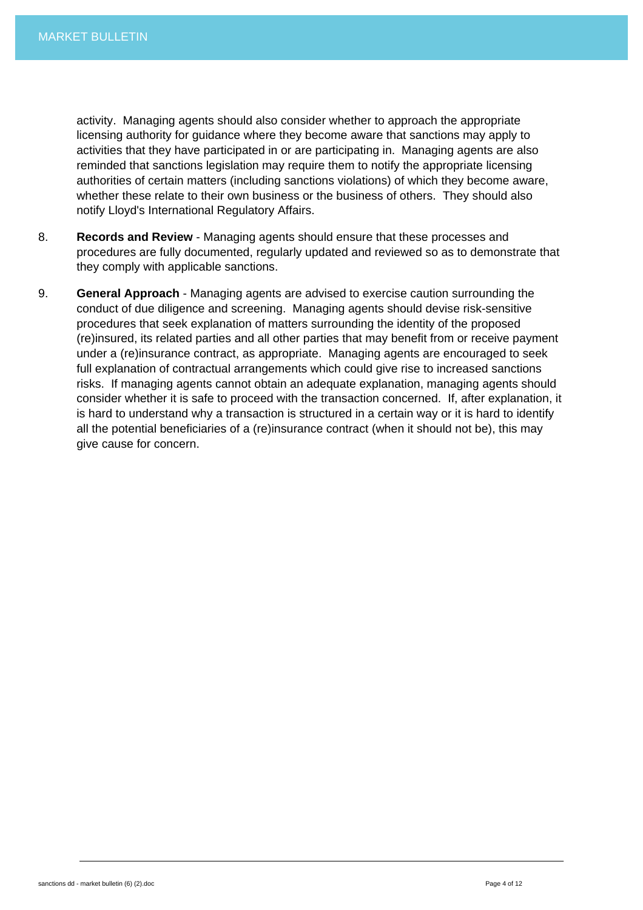activity. Managing agents should also consider whether to approach the appropriate licensing authority for guidance where they become aware that sanctions may apply to activities that they have participated in or are participating in. Managing agents are also reminded that sanctions legislation may require them to notify the appropriate licensing authorities of certain matters (including sanctions violations) of which they become aware, whether these relate to their own business or the business of others. They should also notify Lloyd's International Regulatory Affairs.

- 8. **Records and Review** Managing agents should ensure that these processes and procedures are fully documented, regularly updated and reviewed so as to demonstrate that they comply with applicable sanctions.
- 9. **General Approach** Managing agents are advised to exercise caution surrounding the conduct of due diligence and screening. Managing agents should devise risk-sensitive procedures that seek explanation of matters surrounding the identity of the proposed (re)insured, its related parties and all other parties that may benefit from or receive payment under a (re)insurance contract, as appropriate. Managing agents are encouraged to seek full explanation of contractual arrangements which could give rise to increased sanctions risks. If managing agents cannot obtain an adequate explanation, managing agents should consider whether it is safe to proceed with the transaction concerned. If, after explanation, it is hard to understand why a transaction is structured in a certain way or it is hard to identify all the potential beneficiaries of a (re)insurance contract (when it should not be), this may give cause for concern.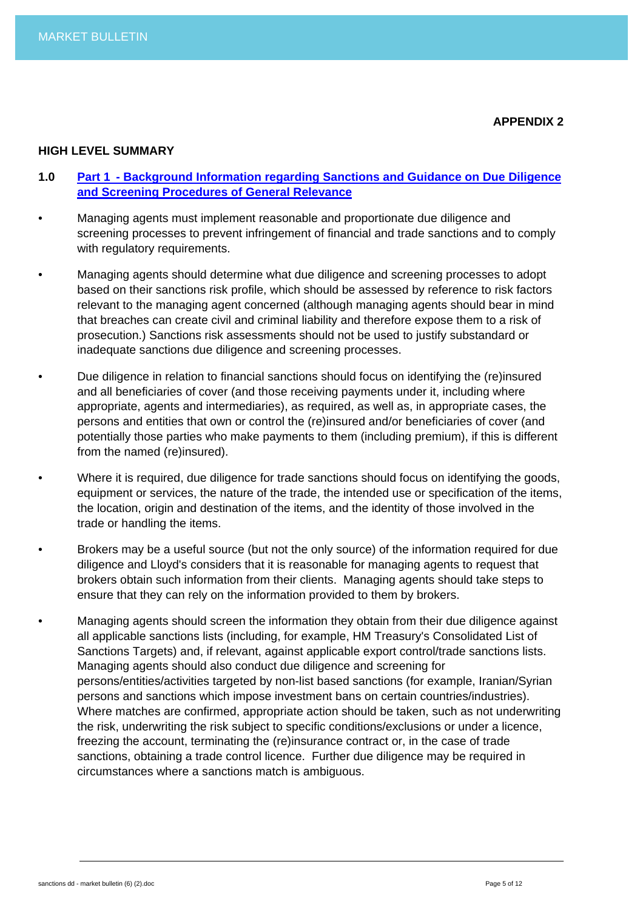#### **HIGH LEVEL SUMMARY**

- **1.0 [Part 1 Background Information regarding Sanctions and Guidance on Due Diligence](http://www.lloyds.com/%7E/media/Files/The%20Market/Communications/Key%20regulatory%20projects/Financial%20Crime/2012006Sanctions_due_dilligence_guidance_Part_1)  [and Screening Procedures of General Relevance](http://www.lloyds.com/%7E/media/Files/The%20Market/Communications/Key%20regulatory%20projects/Financial%20Crime/2012006Sanctions_due_dilligence_guidance_Part_1)**
- Managing agents must implement reasonable and proportionate due diligence and screening processes to prevent infringement of financial and trade sanctions and to comply with regulatory requirements.
- Managing agents should determine what due diligence and screening processes to adopt based on their sanctions risk profile, which should be assessed by reference to risk factors relevant to the managing agent concerned (although managing agents should bear in mind that breaches can create civil and criminal liability and therefore expose them to a risk of prosecution.) Sanctions risk assessments should not be used to justify substandard or inadequate sanctions due diligence and screening processes.
- Due diligence in relation to financial sanctions should focus on identifying the (re)insured and all beneficiaries of cover (and those receiving payments under it, including where appropriate, agents and intermediaries), as required, as well as, in appropriate cases, the persons and entities that own or control the (re)insured and/or beneficiaries of cover (and potentially those parties who make payments to them (including premium), if this is different from the named (re)insured).
- Where it is required, due diligence for trade sanctions should focus on identifying the goods, equipment or services, the nature of the trade, the intended use or specification of the items, the location, origin and destination of the items, and the identity of those involved in the trade or handling the items.
- Brokers may be a useful source (but not the only source) of the information required for due diligence and Lloyd's considers that it is reasonable for managing agents to request that brokers obtain such information from their clients. Managing agents should take steps to ensure that they can rely on the information provided to them by brokers.
- Managing agents should screen the information they obtain from their due diligence against all applicable sanctions lists (including, for example, HM Treasury's Consolidated List of Sanctions Targets) and, if relevant, against applicable export control/trade sanctions lists. Managing agents should also conduct due diligence and screening for persons/entities/activities targeted by non-list based sanctions (for example, Iranian/Syrian persons and sanctions which impose investment bans on certain countries/industries). Where matches are confirmed, appropriate action should be taken, such as not underwriting the risk, underwriting the risk subject to specific conditions/exclusions or under a licence, freezing the account, terminating the (re)insurance contract or, in the case of trade sanctions, obtaining a trade control licence. Further due diligence may be required in circumstances where a sanctions match is ambiguous.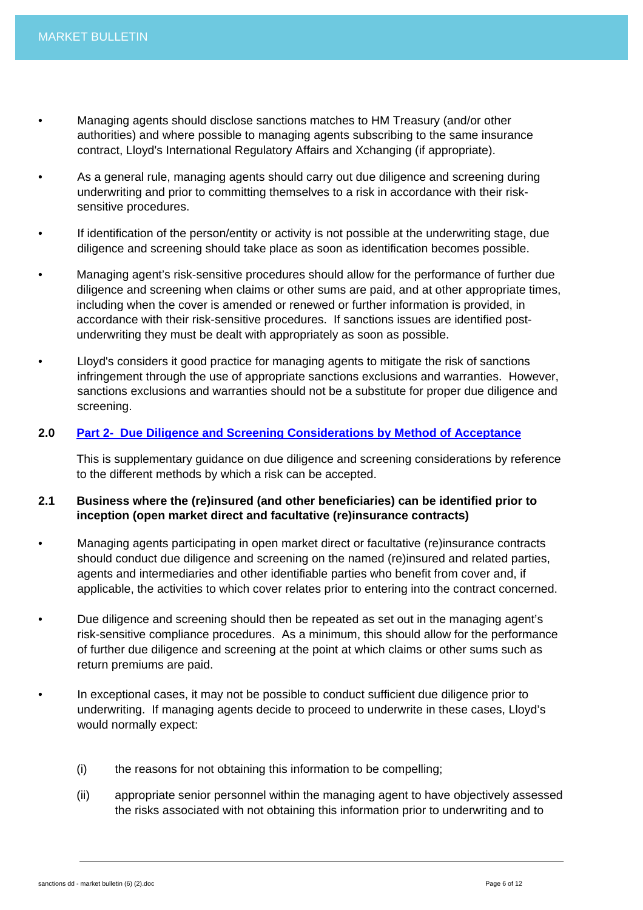- Managing agents should disclose sanctions matches to HM Treasury (and/or other authorities) and where possible to managing agents subscribing to the same insurance contract, Lloyd's International Regulatory Affairs and Xchanging (if appropriate).
- As a general rule, managing agents should carry out due diligence and screening during underwriting and prior to committing themselves to a risk in accordance with their risksensitive procedures.
- If identification of the person/entity or activity is not possible at the underwriting stage, due diligence and screening should take place as soon as identification becomes possible.
- Managing agent's risk-sensitive procedures should allow for the performance of further due diligence and screening when claims or other sums are paid, and at other appropriate times, including when the cover is amended or renewed or further information is provided, in accordance with their risk-sensitive procedures. If sanctions issues are identified postunderwriting they must be dealt with appropriately as soon as possible.
- Lloyd's considers it good practice for managing agents to mitigate the risk of sanctions infringement through the use of appropriate sanctions exclusions and warranties. However, sanctions exclusions and warranties should not be a substitute for proper due diligence and screening.

# **2.0 [Part 2- Due Diligence and Screening Considerations by Method of Acceptance](http://www.lloyds.com/%7E/media/Files/The%20Market/Communications/Key%20regulatory%20projects/Financial%20Crime/2012006Sanctions_due_dilligence_guidance_Part_2)**

This is supplementary guidance on due diligence and screening considerations by reference to the different methods by which a risk can be accepted.

# **2.1 Business where the (re)insured (and other beneficiaries) can be identified prior to inception (open market direct and facultative (re)insurance contracts)**

- Managing agents participating in open market direct or facultative (re)insurance contracts should conduct due diligence and screening on the named (re)insured and related parties, agents and intermediaries and other identifiable parties who benefit from cover and, if applicable, the activities to which cover relates prior to entering into the contract concerned.
- Due diligence and screening should then be repeated as set out in the managing agent's risk-sensitive compliance procedures. As a minimum, this should allow for the performance of further due diligence and screening at the point at which claims or other sums such as return premiums are paid.
- In exceptional cases, it may not be possible to conduct sufficient due diligence prior to underwriting. If managing agents decide to proceed to underwrite in these cases, Lloyd's would normally expect:
	- (i) the reasons for not obtaining this information to be compelling;
	- (ii) appropriate senior personnel within the managing agent to have objectively assessed the risks associated with not obtaining this information prior to underwriting and to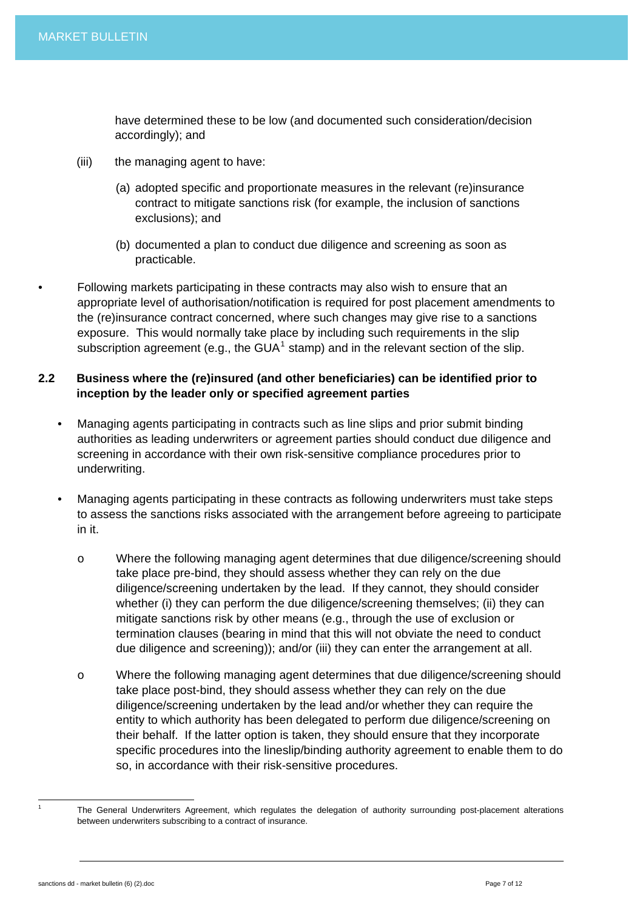have determined these to be low (and documented such consideration/decision accordingly); and

- (iii) the managing agent to have:
	- (a) adopted specific and proportionate measures in the relevant (re)insurance contract to mitigate sanctions risk (for example, the inclusion of sanctions exclusions); and
	- (b) documented a plan to conduct due diligence and screening as soon as practicable.
- Following markets participating in these contracts may also wish to ensure that an appropriate level of authorisation/notification is required for post placement amendments to the (re)insurance contract concerned, where such changes may give rise to a sanctions exposure. This would normally take place by including such requirements in the slip subscription agreement (e.g., the GUA<sup>[1](#page-6-0)</sup> stamp) and in the relevant section of the slip.

# **2.2 Business where the (re)insured (and other beneficiaries) can be identified prior to inception by the leader only or specified agreement parties**

- Managing agents participating in contracts such as line slips and prior submit binding authorities as leading underwriters or agreement parties should conduct due diligence and screening in accordance with their own risk-sensitive compliance procedures prior to underwriting.
- Managing agents participating in these contracts as following underwriters must take steps to assess the sanctions risks associated with the arrangement before agreeing to participate in it.
	- o Where the following managing agent determines that due diligence/screening should take place pre-bind, they should assess whether they can rely on the due diligence/screening undertaken by the lead. If they cannot, they should consider whether (i) they can perform the due diligence/screening themselves; (ii) they can mitigate sanctions risk by other means (e.g., through the use of exclusion or termination clauses (bearing in mind that this will not obviate the need to conduct due diligence and screening)); and/or (iii) they can enter the arrangement at all.
	- o Where the following managing agent determines that due diligence/screening should take place post-bind, they should assess whether they can rely on the due diligence/screening undertaken by the lead and/or whether they can require the entity to which authority has been delegated to perform due diligence/screening on their behalf. If the latter option is taken, they should ensure that they incorporate specific procedures into the lineslip/binding authority agreement to enable them to do so, in accordance with their risk-sensitive procedures.

<span id="page-6-0"></span> 1

The General Underwriters Agreement, which regulates the delegation of authority surrounding post-placement alterations between underwriters subscribing to a contract of insurance.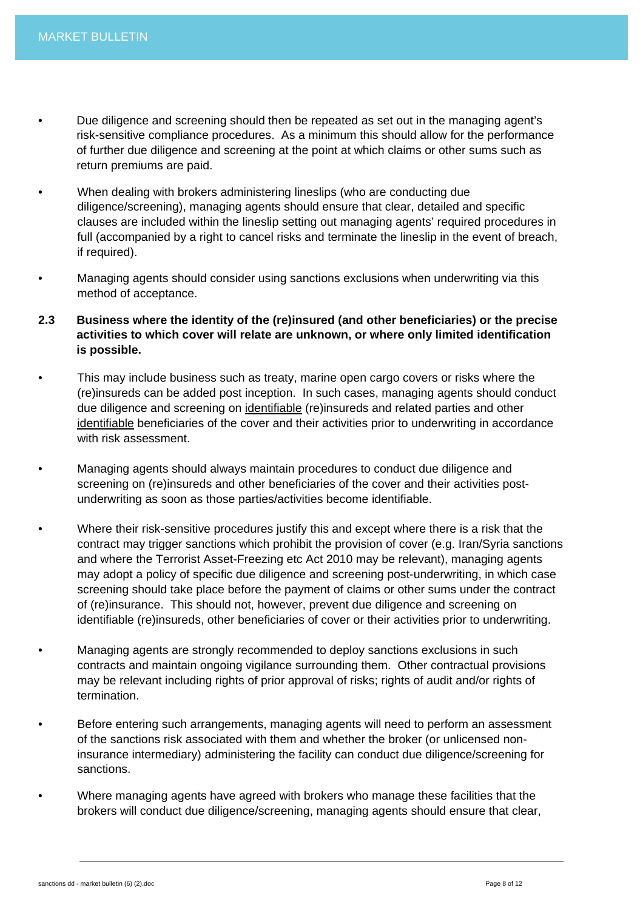- Due diligence and screening should then be repeated as set out in the managing agent's risk-sensitive compliance procedures. As a minimum this should allow for the performance of further due diligence and screening at the point at which claims or other sums such as return premiums are paid.
- When dealing with brokers administering lineslips (who are conducting due diligence/screening), managing agents should ensure that clear, detailed and specific clauses are included within the lineslip setting out managing agents' required procedures in full (accompanied by a right to cancel risks and terminate the lineslip in the event of breach, if required).
- Managing agents should consider using sanctions exclusions when underwriting via this method of acceptance.
- **2.3 Business where the identity of the (re)insured (and other beneficiaries) or the precise activities to which cover will relate are unknown, or where only limited identification is possible.**
- This may include business such as treaty, marine open cargo covers or risks where the (re)insureds can be added post inception. In such cases, managing agents should conduct due diligence and screening on identifiable (re)insureds and related parties and other identifiable beneficiaries of the cover and their activities prior to underwriting in accordance with risk assessment.
- Managing agents should always maintain procedures to conduct due diligence and screening on (re)insureds and other beneficiaries of the cover and their activities postunderwriting as soon as those parties/activities become identifiable.
- Where their risk-sensitive procedures justify this and except where there is a risk that the contract may trigger sanctions which prohibit the provision of cover (e.g. Iran/Syria sanctions and where the Terrorist Asset-Freezing etc Act 2010 may be relevant), managing agents may adopt a policy of specific due diligence and screening post-underwriting, in which case screening should take place before the payment of claims or other sums under the contract of (re)insurance. This should not, however, prevent due diligence and screening on identifiable (re)insureds, other beneficiaries of cover or their activities prior to underwriting.
- Managing agents are strongly recommended to deploy sanctions exclusions in such contracts and maintain ongoing vigilance surrounding them. Other contractual provisions may be relevant including rights of prior approval of risks; rights of audit and/or rights of termination.
- Before entering such arrangements, managing agents will need to perform an assessment of the sanctions risk associated with them and whether the broker (or unlicensed noninsurance intermediary) administering the facility can conduct due diligence/screening for sanctions.
- Where managing agents have agreed with brokers who manage these facilities that the brokers will conduct due diligence/screening, managing agents should ensure that clear,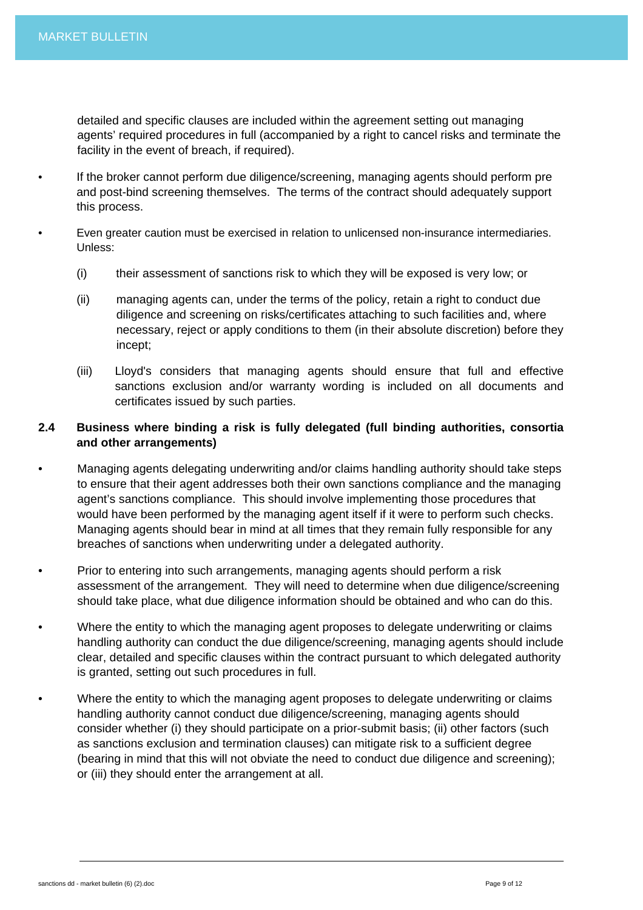detailed and specific clauses are included within the agreement setting out managing agents' required procedures in full (accompanied by a right to cancel risks and terminate the facility in the event of breach, if required).

- If the broker cannot perform due diligence/screening, managing agents should perform pre and post-bind screening themselves. The terms of the contract should adequately support this process.
- Even greater caution must be exercised in relation to unlicensed non-insurance intermediaries. Unless:
	- (i) their assessment of sanctions risk to which they will be exposed is very low; or
	- (ii) managing agents can, under the terms of the policy, retain a right to conduct due diligence and screening on risks/certificates attaching to such facilities and, where necessary, reject or apply conditions to them (in their absolute discretion) before they incept;
	- (iii) Lloyd's considers that managing agents should ensure that full and effective sanctions exclusion and/or warranty wording is included on all documents and certificates issued by such parties.

# **2.4 Business where binding a risk is fully delegated (full binding authorities, consortia and other arrangements)**

- Managing agents delegating underwriting and/or claims handling authority should take steps to ensure that their agent addresses both their own sanctions compliance and the managing agent's sanctions compliance. This should involve implementing those procedures that would have been performed by the managing agent itself if it were to perform such checks. Managing agents should bear in mind at all times that they remain fully responsible for any breaches of sanctions when underwriting under a delegated authority.
- Prior to entering into such arrangements, managing agents should perform a risk assessment of the arrangement. They will need to determine when due diligence/screening should take place, what due diligence information should be obtained and who can do this.
- Where the entity to which the managing agent proposes to delegate underwriting or claims handling authority can conduct the due diligence/screening, managing agents should include clear, detailed and specific clauses within the contract pursuant to which delegated authority is granted, setting out such procedures in full.
- Where the entity to which the managing agent proposes to delegate underwriting or claims handling authority cannot conduct due diligence/screening, managing agents should consider whether (i) they should participate on a prior-submit basis; (ii) other factors (such as sanctions exclusion and termination clauses) can mitigate risk to a sufficient degree (bearing in mind that this will not obviate the need to conduct due diligence and screening); or (iii) they should enter the arrangement at all.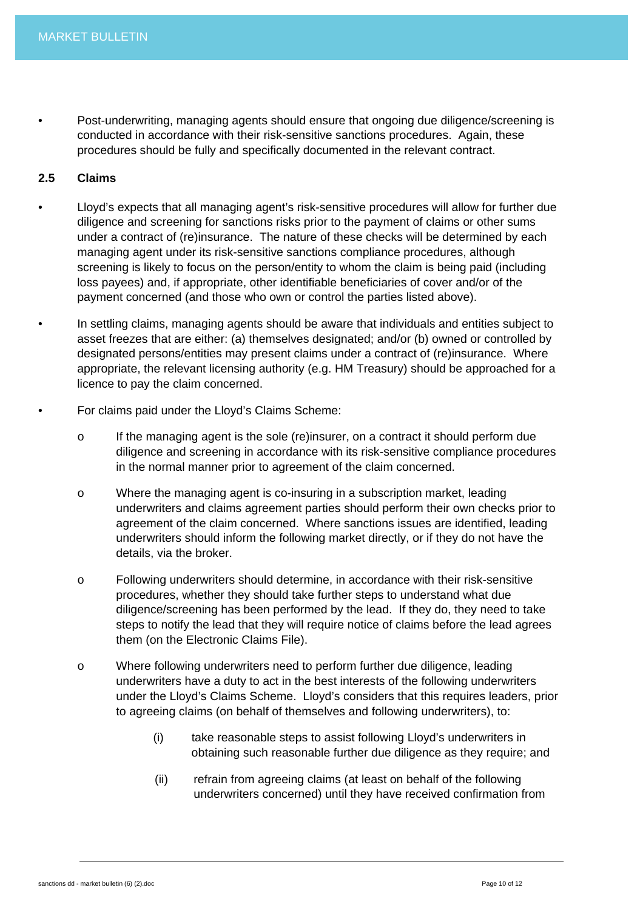• Post-underwriting, managing agents should ensure that ongoing due diligence/screening is conducted in accordance with their risk-sensitive sanctions procedures. Again, these procedures should be fully and specifically documented in the relevant contract.

# **2.5 Claims**

- Lloyd's expects that all managing agent's risk-sensitive procedures will allow for further due diligence and screening for sanctions risks prior to the payment of claims or other sums under a contract of (re)insurance. The nature of these checks will be determined by each managing agent under its risk-sensitive sanctions compliance procedures, although screening is likely to focus on the person/entity to whom the claim is being paid (including loss payees) and, if appropriate, other identifiable beneficiaries of cover and/or of the payment concerned (and those who own or control the parties listed above).
- In settling claims, managing agents should be aware that individuals and entities subject to asset freezes that are either: (a) themselves designated; and/or (b) owned or controlled by designated persons/entities may present claims under a contract of (re)insurance. Where appropriate, the relevant licensing authority (e.g. HM Treasury) should be approached for a licence to pay the claim concerned.
- For claims paid under the Lloyd's Claims Scheme:
	- o If the managing agent is the sole (re)insurer, on a contract it should perform due diligence and screening in accordance with its risk-sensitive compliance procedures in the normal manner prior to agreement of the claim concerned.
	- o Where the managing agent is co-insuring in a subscription market, leading underwriters and claims agreement parties should perform their own checks prior to agreement of the claim concerned. Where sanctions issues are identified, leading underwriters should inform the following market directly, or if they do not have the details, via the broker.
	- o Following underwriters should determine, in accordance with their risk-sensitive procedures, whether they should take further steps to understand what due diligence/screening has been performed by the lead. If they do, they need to take steps to notify the lead that they will require notice of claims before the lead agrees them (on the Electronic Claims File).
	- o Where following underwriters need to perform further due diligence, leading underwriters have a duty to act in the best interests of the following underwriters under the Lloyd's Claims Scheme. Lloyd's considers that this requires leaders, prior to agreeing claims (on behalf of themselves and following underwriters), to:
		- (i) take reasonable steps to assist following Lloyd's underwriters in obtaining such reasonable further due diligence as they require; and
		- (ii) refrain from agreeing claims (at least on behalf of the following underwriters concerned) until they have received confirmation from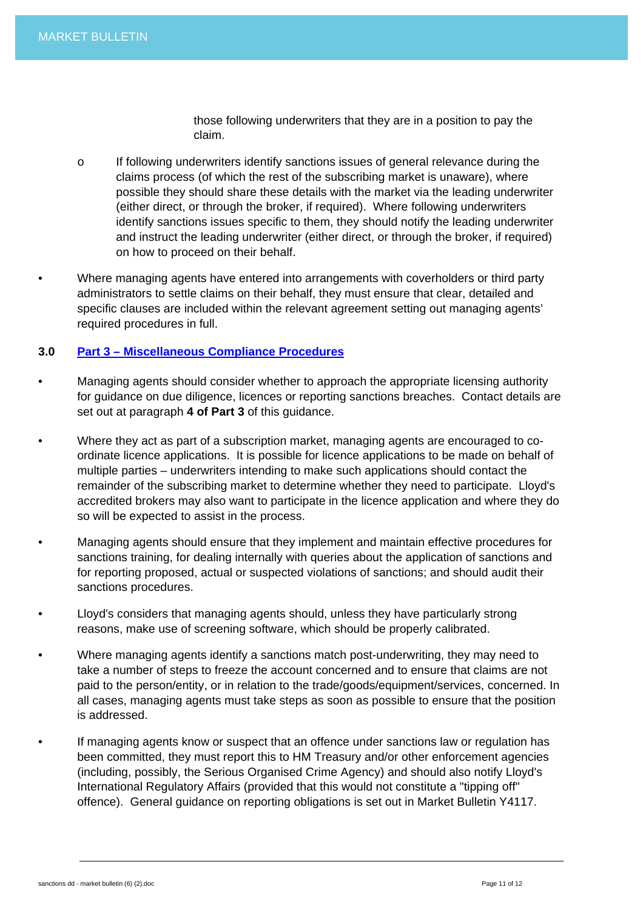those following underwriters that they are in a position to pay the claim.

- o If following underwriters identify sanctions issues of general relevance during the claims process (of which the rest of the subscribing market is unaware), where possible they should share these details with the market via the leading underwriter (either direct, or through the broker, if required). Where following underwriters identify sanctions issues specific to them, they should notify the leading underwriter and instruct the leading underwriter (either direct, or through the broker, if required) on how to proceed on their behalf.
- Where managing agents have entered into arrangements with coverholders or third party administrators to settle claims on their behalf, they must ensure that clear, detailed and specific clauses are included within the relevant agreement setting out managing agents' required procedures in full.

#### **3.0 [Part 3 – Miscellaneous Compliance Procedures](http://www.lloyds.com/%7E/media/Files/The%20Market/Communications/Key%20regulatory%20projects/Financial%20Crime/2012006Sanctions_due_dilligence_guidance_Part_3)**

- Managing agents should consider whether to approach the appropriate licensing authority for guidance on due diligence, licences or reporting sanctions breaches. Contact details are set out at paragraph **4 of Part 3** of this guidance.
- Where they act as part of a subscription market, managing agents are encouraged to coordinate licence applications. It is possible for licence applications to be made on behalf of multiple parties – underwriters intending to make such applications should contact the remainder of the subscribing market to determine whether they need to participate. Lloyd's accredited brokers may also want to participate in the licence application and where they do so will be expected to assist in the process.
- Managing agents should ensure that they implement and maintain effective procedures for sanctions training, for dealing internally with queries about the application of sanctions and for reporting proposed, actual or suspected violations of sanctions; and should audit their sanctions procedures.
- Lloyd's considers that managing agents should, unless they have particularly strong reasons, make use of screening software, which should be properly calibrated.
- Where managing agents identify a sanctions match post-underwriting, they may need to take a number of steps to freeze the account concerned and to ensure that claims are not paid to the person/entity, or in relation to the trade/goods/equipment/services, concerned. In all cases, managing agents must take steps as soon as possible to ensure that the position is addressed.
- If managing agents know or suspect that an offence under sanctions law or regulation has been committed, they must report this to HM Treasury and/or other enforcement agencies (including, possibly, the Serious Organised Crime Agency) and should also notify Lloyd's International Regulatory Affairs (provided that this would not constitute a "tipping off" offence). General guidance on reporting obligations is set out in Market Bulletin Y4117.